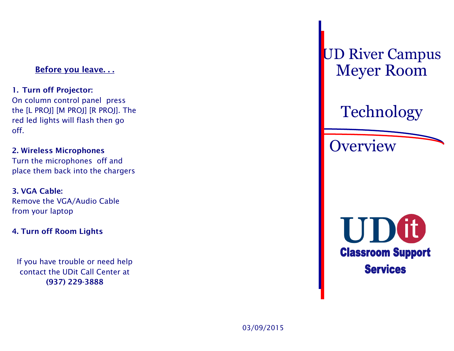## **Before you leave. . .**

# **1. Turn off Projector:**

On column control panel press the [L PROJ] [M PROJ] [R PROJ]. The red led lights will flash then go off.

#### **2. Wireless Microphones** Turn the microphones off and

place them back into the chargers

## **3. VGA Cable:** Remove the VGA/Audio Cable from your laptop

## **4. Turn off Room Lights**

If you have trouble or need help contact the UDit Call Center at **(937) 229-3888**

UD River Campus Meyer Room

# Technology

**Overview**